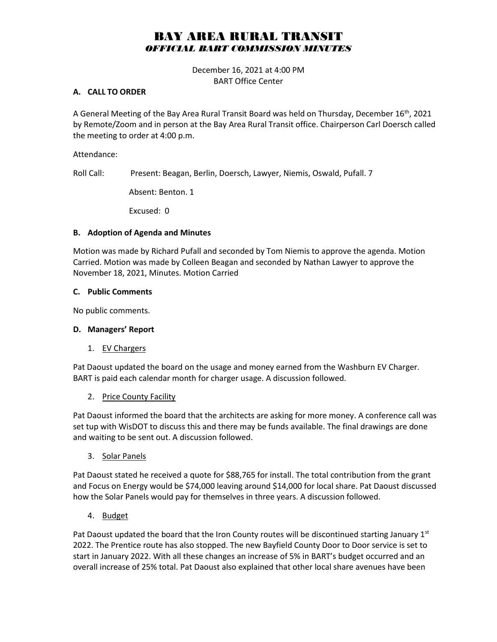# BAY AREA RURAL TRANSIT *OFFICIAL BART COMMISSION MINUTES*

December 16, 2021 at 4:00 PM BART Office Center

#### **A. CALL TO ORDER**

A General Meeting of the Bay Area Rural Transit Board was held on Thursday, December  $16^{th}$ , 2021 by Remote/Zoom and in person at the Bay Area Rural Transit office. Chairperson Carl Doersch called the meeting to order at 4:00 p.m.

Attendance:

Roll Call: Present: Beagan, Berlin, Doersch, Lawyer, Niemis, Oswald, Pufall. 7

Absent: Benton. 1

Excused: 0

#### **B. Adoption of Agenda and Minutes**

Motion was made by Richard Pufall and seconded by Tom Niemis to approve the agenda. Motion Carried. Motion was made by Colleen Beagan and seconded by Nathan Lawyer to approve the November 18, 2021, Minutes. Motion Carried

#### **C. Public Comments**

No public comments.

#### **D. Managers' Report**

1. EV Chargers

Pat Daoust updated the board on the usage and money earned from the Washburn EV Charger. BART is paid each calendar month for charger usage. A discussion followed.

2. Price County Facility

Pat Daoust informed the board that the architects are asking for more money. A conference call was set tup with WisDOT to discuss this and there may be funds available. The final drawings are done and waiting to be sent out. A discussion followed.

3. Solar Panels

Pat Daoust stated he received a quote for \$88,765 for install. The total contribution from the grant and Focus on Energy would be \$74,000 leaving around \$14,000 for local share. Pat Daoust discussed how the Solar Panels would pay for themselves in three years. A discussion followed.

4. Budget

Pat Daoust updated the board that the Iron County routes will be discontinued starting January  $1<sup>st</sup>$ 2022. The Prentice route has also stopped. The new Bayfield County Door to Door service is set to start in January 2022. With all these changes an increase of 5% in BART's budget occurred and an overall increase of 25% total. Pat Daoust also explained that other local share avenues have been